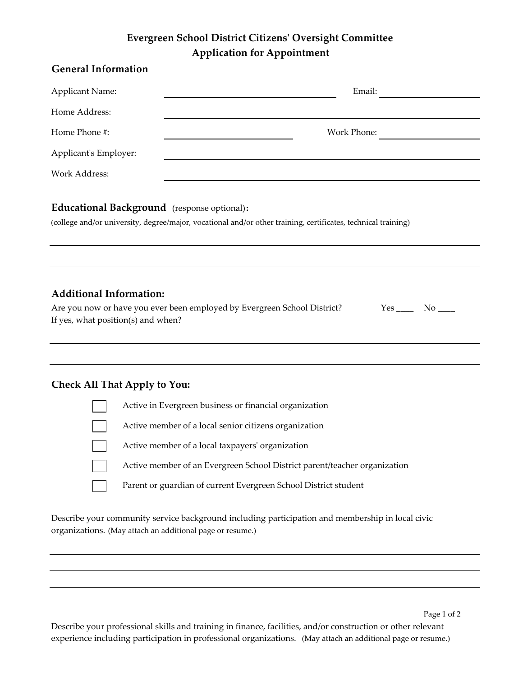# **Evergreen School District Citizens' Oversight Committee Application for Appointment**

| <b>General Information</b> |             |
|----------------------------|-------------|
| <b>Applicant Name:</b>     | Email:      |
| Home Address:              |             |
| Home Phone #:              | Work Phone: |
| Applicant's Employer:      |             |
| Work Address:              |             |
|                            |             |

## **Educational Background** (response optional)**:**

(college and/or university, degree/major, vocational and/or other training, certificates, technical training)

## **Additional Information:**

| Are you now or have you ever been employed by Evergreen School District? | Yes No |  |
|--------------------------------------------------------------------------|--------|--|
| If yes, what position(s) and when?                                       |        |  |

### **Check All That Apply to You:**



Describe your community service background including participation and membership in local civic organizations. (May attach an additional page or resume.)

Describe your professional skills and training in finance, facilities, and/or construction or other relevant experience including participation in professional organizations. (May attach an additional page or resume.)